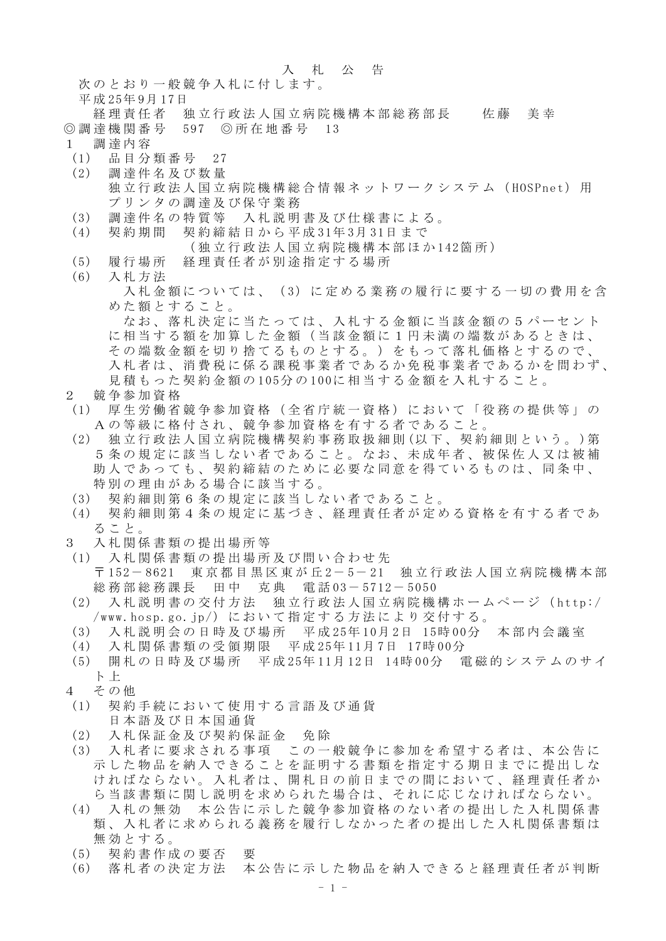## 入札公告

次のとおり一般競争入札に付します。

平成 25年 9月 17日

- 経理責任者 独立行政法人国立病院機構本部総務部長 佐藤 美幸 ◎調達機関番号 597 ◎所在地番号 13
- 1 調達内容
- (1) 品目分類番号 27
- (2) 調達件名及び数量 独立行政法人国立病院機構総合情報ネットワークシステム (HOSPnet) 用 プリンタの調達及び保守業務
- (3) 調達件名の特質等 入札説明書及び仕様書による。
- (4) 契約期間 契約締結日から平成 31年 3月 31日まで (独立行政法人国立病院機構本部ほか 142箇所)
- (5) 履行場所 経理責任者が別途指定する場所
- (6) 入札方法
	- 入札金額については、(3)に定める業務の履行に要する一切の費用を含 めた額とすること。

なお、落札決定に当たっては、入札する金額に当該金額の5パーセント に相当する額を加算した金額(当該金額に1円未満の端数があるときは、 その端数金額を切り捨てるものとする。)をもって落札価格とするので、 入札者は、消費税に係る課税事業者であるか免税事業者であるかを問わず、 見積もった契約金額の 105分の 100に相当する金額を入札すること。

## 2 競争参加資格

- (1) 厚生労働省競争参加資格(全省庁統一資格)において「役務の提供等」の Aの等級に格付され、競争参加資格を有する者であること 。
- (2) 独立行政法人国立病院機構契約事務取扱細則 (以下、契約細則という。 )第 5条の規定に該当しない者であること。なお、未成年者、被保佐人又は被補 助人であっても、契約締結のために必要な同意を得ているものは、同条中、 特別の理由がある場合に該当する。
- (3) 契約細則第6条の規定に該当しない者であること。
- (4) 契約細則第4条の規定に基づき、経理責任者が定める資格を有する者であ ること。
- 3 入札関係書類の提出場所等
- (1) 入札関係書類の提出場所及び問い合わせ先 〒 152- 8621 東京都目黒区東が丘 2- 5- 21 独立行政法人国立病院機構本部 総務部総務課長 田中 克典 電話 03- 5712- 5050
- (2) 入札説明書の交付方法 独立行政法人国立病院機構ホームページ( http:/ /www.hosp.go.jp/)において指定する方法により交付する。
- (3) 入札説明会の日時及び場所 平成 25年 10月 2日 15時 00分 本部内会議室
- (4) 入札関係書類の受領期限 平成 25年 11月 7日 17時 00分
- (5) 開札の日時及び場所 平成 25年 11月 12日 14時 00分 電磁的システムのサイ ト 上
- 4 その他
- (1) 契約手続において使用する言語及び通貨 日本語及び日本国通貨
- (2) 入札保証金及び契約保証金 免除
- (3) 入札者に要求される事項 この一般競争に参加を希望する者は、本公告に 示した物品を納入できることを証明する書類を指定する期日までに提出しな ければならない。入札者は、開札日の前日までの間において、経理責任者か ら当該書類に関し説明を求められた場合は、それに応じなければならない。
- (4) 入札の無効 本公告に示した競争参加資格のない者の提出した入札関係書 類、入札者に求められる義務を履行しなかった者の提出した入札関係書類は 無効とする。
- (5) 契約書作成の要否 要
- (6) 落札者の決定方法 本公告に示した物品を納入できると経理責任者が判断